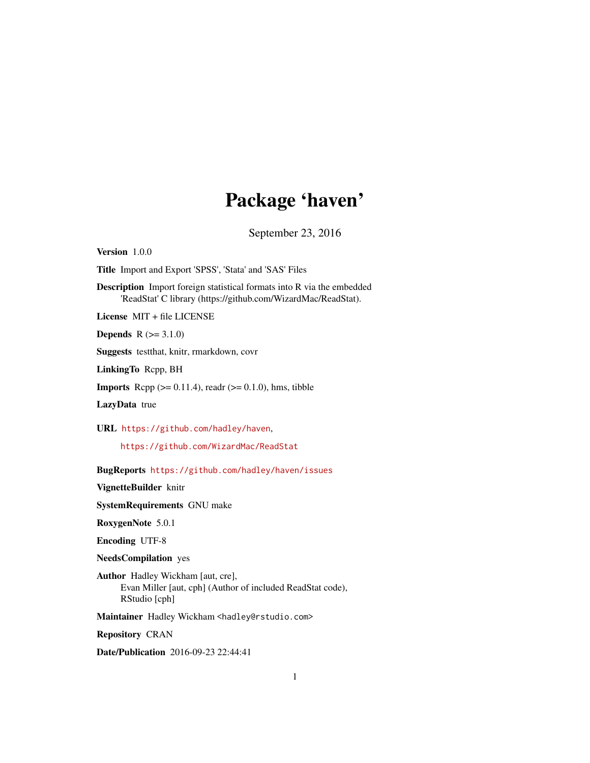## Package 'haven'

September 23, 2016

<span id="page-0-0"></span>Version 1.0.0

Title Import and Export 'SPSS', 'Stata' and 'SAS' Files

Description Import foreign statistical formats into R via the embedded 'ReadStat' C library (https://github.com/WizardMac/ReadStat).

License MIT + file LICENSE

**Depends**  $R (= 3.1.0)$ 

Suggests testthat, knitr, rmarkdown, covr

LinkingTo Rcpp, BH

**Imports** Rcpp  $(>= 0.11.4)$ , readr  $(>= 0.1.0)$ , hms, tibble

LazyData true

URL <https://github.com/hadley/haven>,

<https://github.com/WizardMac/ReadStat>

BugReports <https://github.com/hadley/haven/issues>

VignetteBuilder knitr

SystemRequirements GNU make

RoxygenNote 5.0.1

Encoding UTF-8

NeedsCompilation yes

Author Hadley Wickham [aut, cre], Evan Miller [aut, cph] (Author of included ReadStat code), RStudio [cph]

Maintainer Hadley Wickham <hadley@rstudio.com>

Repository CRAN

Date/Publication 2016-09-23 22:44:41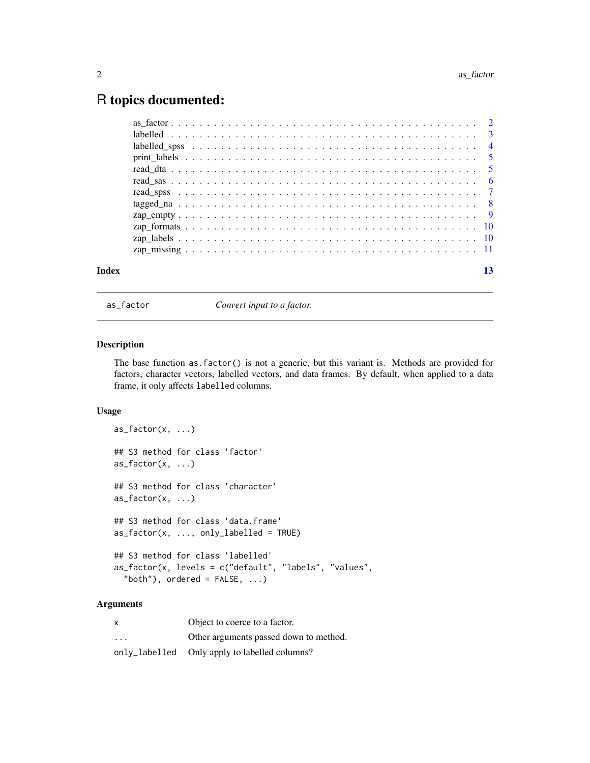### <span id="page-1-0"></span>R topics documented:

| Index | 13 |
|-------|----|

as\_factor *Convert input to a factor.*

#### Description

The base function as.factor() is not a generic, but this variant is. Methods are provided for factors, character vectors, labelled vectors, and data frames. By default, when applied to a data frame, it only affects labelled columns.

#### Usage

```
as\_factor(x, \ldots)## S3 method for class 'factor'
as_factor(x, \ldots)## S3 method for class 'character'
as_factor(x, \ldots)## S3 method for class 'data.frame'
as_factor(x, ..., only_labeled = TRUE)## S3 method for class 'labelled'
as_factor(x, levels = c("default", "labels", "values",
  "both"), ordered = FALSE, ...)
```
#### Arguments

| $\times$                | Object to coerce to a factor.                 |
|-------------------------|-----------------------------------------------|
| $\cdot$ $\cdot$ $\cdot$ | Other arguments passed down to method.        |
|                         | only_labelled Only apply to labelled columns? |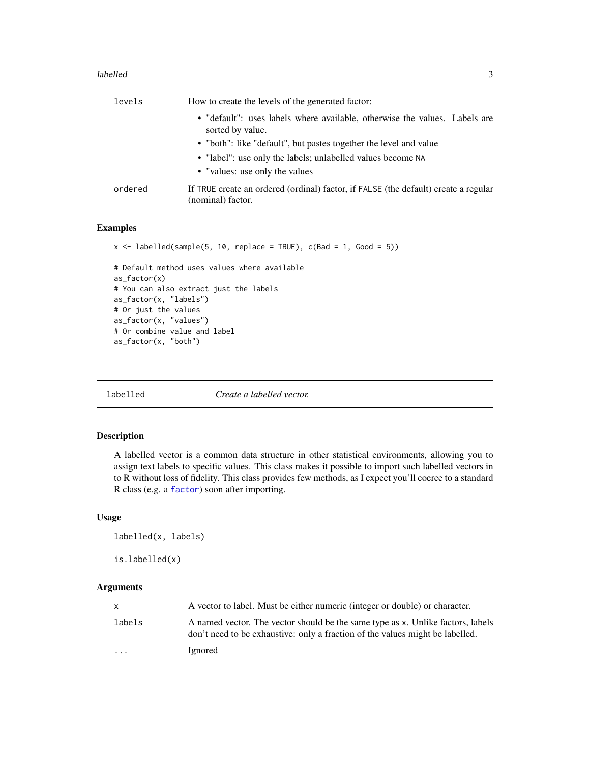#### <span id="page-2-0"></span>labelled 3

| levels  | How to create the levels of the generated factor:                                                        |
|---------|----------------------------------------------------------------------------------------------------------|
|         | • "default": uses labels where available, otherwise the values. Labels are<br>sorted by value.           |
|         | • "both": like "default", but pastes together the level and value                                        |
|         | • "label": use only the labels; unlabelled values become NA                                              |
|         | • "values: use only the values                                                                           |
| ordered | If TRUE create an ordered (ordinal) factor, if FALSE (the default) create a regular<br>(nominal) factor. |

#### Examples

```
x \le labelled(sample(5, 10, replace = TRUE), c(Bad = 1, Good = 5))
# Default method uses values where available
as_factor(x)
# You can also extract just the labels
as_factor(x, "labels")
# Or just the values
as_factor(x, "values")
# Or combine value and label
as_factor(x, "both")
```
<span id="page-2-1"></span>labelled *Create a labelled vector.*

#### Description

A labelled vector is a common data structure in other statistical environments, allowing you to assign text labels to specific values. This class makes it possible to import such labelled vectors in to R without loss of fidelity. This class provides few methods, as I expect you'll coerce to a standard R class (e.g. a [factor](#page-0-0)) soon after importing.

#### Usage

```
labelled(x, labels)
```
is.labelled(x)

#### Arguments

|                         | A vector to label. Must be either numeric (integer or double) or character.                                                                                      |
|-------------------------|------------------------------------------------------------------------------------------------------------------------------------------------------------------|
| labels                  | A named vector. The vector should be the same type as x. Unlike factors, labels<br>don't need to be exhaustive: only a fraction of the values might be labelled. |
| $\cdot$ $\cdot$ $\cdot$ | Ignored                                                                                                                                                          |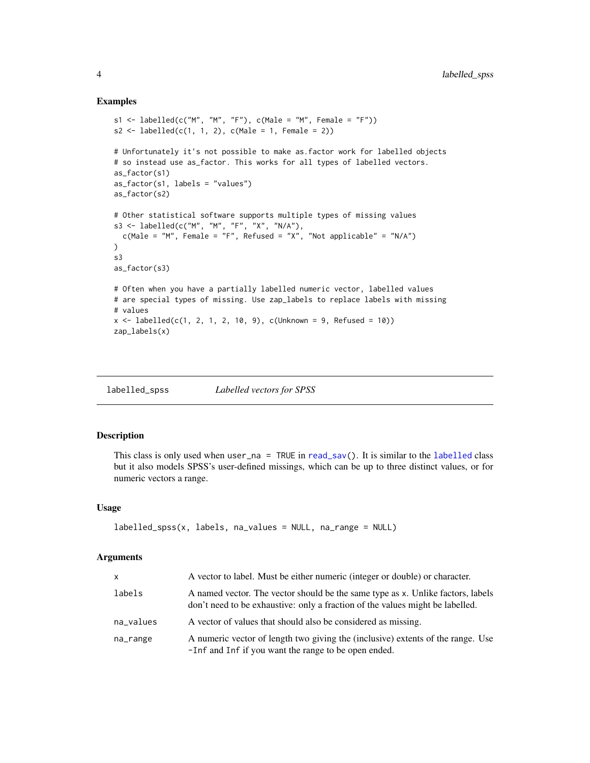#### Examples

```
s1 <- labelled(c("M", "M", "F"), c(Male = "M", Female = "F"))
s2 \leq labelled(c(1, 1, 2), c(Male = 1, Female = 2))
# Unfortunately it's not possible to make as.factor work for labelled objects
# so instead use as_factor. This works for all types of labelled vectors.
as_factor(s1)
as_factor(s1, labels = "values")
as_factor(s2)
# Other statistical software supports multiple types of missing values
s3 <- labelled(c("M", "M", "F", "X", "N/A"),
  c(Male = "M", Female = "F", Refused = "X", "Not applicable" = "N/A")
\lambdas3
as_factor(s3)
# Often when you have a partially labelled numeric vector, labelled values
# are special types of missing. Use zap_labels to replace labels with missing
# values
x <- labelled(c(1, 2, 1, 2, 10, 9), c(Unknown = 9, Refused = 10))
zap_labels(x)
```
<span id="page-3-1"></span>labelled\_spss *Labelled vectors for SPSS*

#### Description

This class is only used when user\_na = TRUE in [read\\_sav\(](#page-6-1)). It is similar to the [labelled](#page-2-1) class but it also models SPSS's user-defined missings, which can be up to three distinct values, or for numeric vectors a range.

#### Usage

```
labelled_spss(x, labels, na_values = NULL, na_range = NULL)
```
#### Arguments

| X         | A vector to label. Must be either numeric (integer or double) or character.                                                                                      |
|-----------|------------------------------------------------------------------------------------------------------------------------------------------------------------------|
| labels    | A named vector. The vector should be the same type as x. Unlike factors, labels<br>don't need to be exhaustive: only a fraction of the values might be labelled. |
| na_values | A vector of values that should also be considered as missing.                                                                                                    |
| na_range  | A numeric vector of length two giving the (inclusive) extents of the range. Use<br>-Inf and Inf if you want the range to be open ended.                          |

<span id="page-3-0"></span>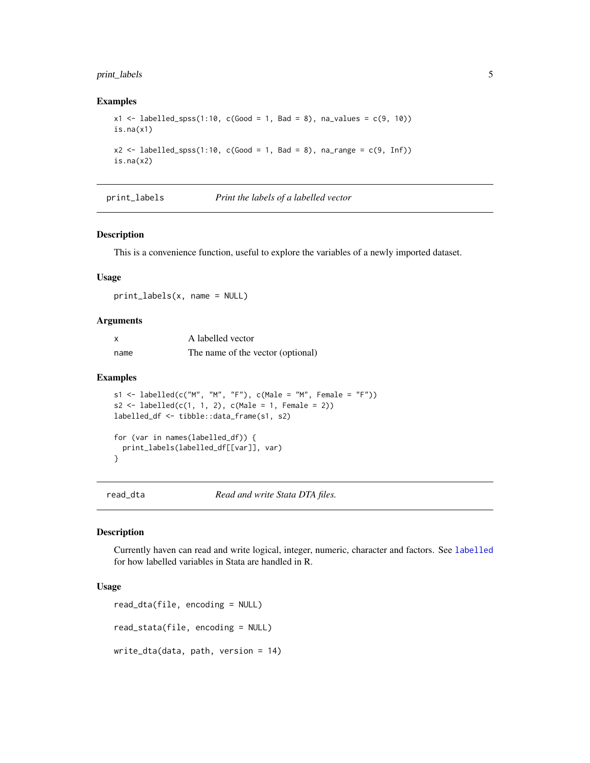#### <span id="page-4-0"></span>print\_labels 5

#### Examples

```
x1 \leq - labelled_spss(1:10, c(Good = 1, Bad = 8), na_values = c(9, 10))
is.na(x1)x2 \le labelled_spss(1:10, c(Good = 1, Bad = 8), na_range = c(9, Inf))
is.na(x2)
```
print\_labels *Print the labels of a labelled vector*

#### Description

This is a convenience function, useful to explore the variables of a newly imported dataset.

#### Usage

print\_labels(x, name = NULL)

#### Arguments

| X    | A labelled vector                 |
|------|-----------------------------------|
| name | The name of the vector (optional) |

#### Examples

```
s1 <- labelled(c("M", "M", "F"), c(Male = "M", Female = "F"))
s2 \leq - \text{labelled}(c(1, 1, 2), c(\text{Male} = 1, \text{ Female} = 2))labelled_df <- tibble::data_frame(s1, s2)
for (var in names(labelled_df)) {
  print_labels(labelled_df[[var]], var)
}
```
read\_dta *Read and write Stata DTA files.*

#### Description

Currently haven can read and write logical, integer, numeric, character and factors. See [labelled](#page-2-1) for how labelled variables in Stata are handled in R.

#### Usage

```
read_dta(file, encoding = NULL)
read_stata(file, encoding = NULL)
write_dta(data, path, version = 14)
```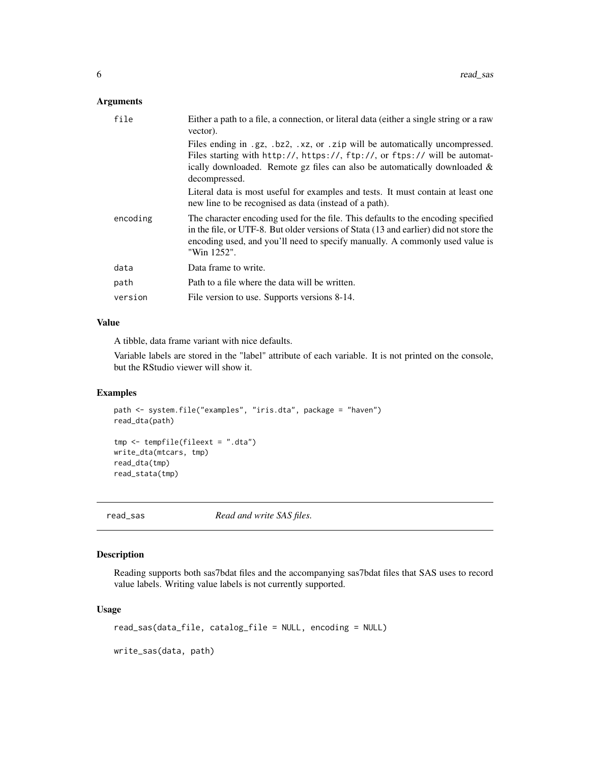#### <span id="page-5-0"></span>Arguments

| file     | Either a path to a file, a connection, or literal data (either a single string or a raw<br>vector).                                                                                                                                                                       |
|----------|---------------------------------------------------------------------------------------------------------------------------------------------------------------------------------------------------------------------------------------------------------------------------|
|          | Files ending in .gz, .bz2, .xz, or .zip will be automatically uncompressed.<br>Files starting with http://, https://, ftp://, or ftps:// will be automat-<br>ically downloaded. Remote $gz$ files can also be automatically downloaded $\&$<br>decompressed.              |
|          | Literal data is most useful for examples and tests. It must contain at least one<br>new line to be recognised as data (instead of a path).                                                                                                                                |
| encoding | The character encoding used for the file. This defaults to the encoding specified<br>in the file, or UTF-8. But older versions of Stata (13 and earlier) did not store the<br>encoding used, and you'll need to specify manually. A commonly used value is<br>"Win 1252". |
| data     | Data frame to write.                                                                                                                                                                                                                                                      |
| path     | Path to a file where the data will be written.                                                                                                                                                                                                                            |
| version  | File version to use. Supports versions 8-14.                                                                                                                                                                                                                              |

#### Value

A tibble, data frame variant with nice defaults.

Variable labels are stored in the "label" attribute of each variable. It is not printed on the console, but the RStudio viewer will show it.

#### Examples

```
path <- system.file("examples", "iris.dta", package = "haven")
read_dta(path)
tmp <- tempfile(fileext = ".dta")
write_dta(mtcars, tmp)
read_dta(tmp)
read_stata(tmp)
```
read\_sas *Read and write SAS files.*

#### Description

Reading supports both sas7bdat files and the accompanying sas7bdat files that SAS uses to record value labels. Writing value labels is not currently supported.

#### Usage

```
read_sas(data_file, catalog_file = NULL, encoding = NULL)
```
write\_sas(data, path)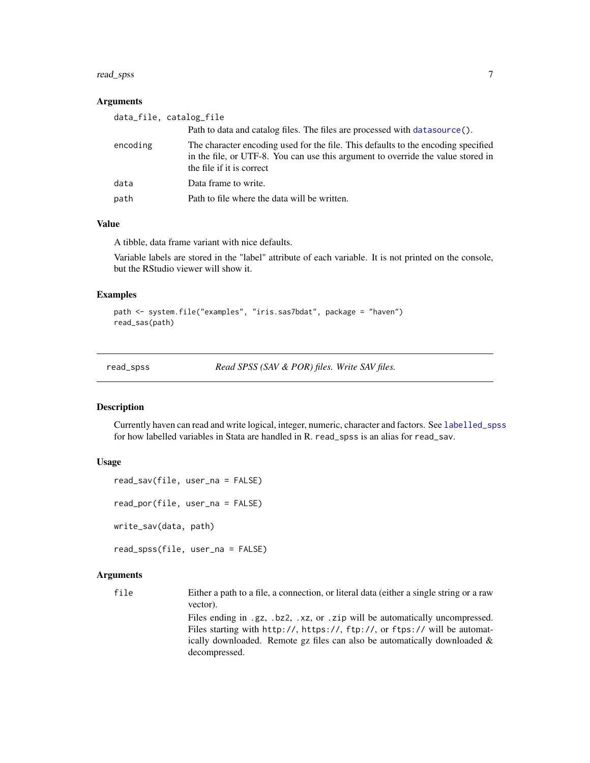#### <span id="page-6-0"></span>read\_spss 7

#### **Arguments**

| data_file, catalog_file |                                                                                                                                                                                                    |
|-------------------------|----------------------------------------------------------------------------------------------------------------------------------------------------------------------------------------------------|
|                         | Path to data and catalog files. The files are processed with data source ().                                                                                                                       |
| encoding                | The character encoding used for the file. This defaults to the encoding specified<br>in the file, or UTF-8. You can use this argument to override the value stored in<br>the file if it is correct |
| data                    | Data frame to write.                                                                                                                                                                               |
| path                    | Path to file where the data will be written.                                                                                                                                                       |

#### Value

A tibble, data frame variant with nice defaults.

Variable labels are stored in the "label" attribute of each variable. It is not printed on the console, but the RStudio viewer will show it.

#### Examples

```
path <- system.file("examples", "iris.sas7bdat", package = "haven")
read_sas(path)
```
read\_spss *Read SPSS (SAV & POR) files. Write SAV files.*

#### <span id="page-6-1"></span>Description

Currently haven can read and write logical, integer, numeric, character and factors. See [labelled\\_spss](#page-3-1) for how labelled variables in Stata are handled in R. read\_spss is an alias for read\_sav.

#### Usage

```
read_sav(file, user_na = FALSE)
read_por(file, user_na = FALSE)
write_sav(data, path)
read_spss(file, user_na = FALSE)
```
#### Arguments

file Either a path to a file, a connection, or literal data (either a single string or a raw vector).

> Files ending in .gz, .bz2, .xz, or .zip will be automatically uncompressed. Files starting with http://, https://, ftp://, or ftps:// will be automatically downloaded. Remote gz files can also be automatically downloaded & decompressed.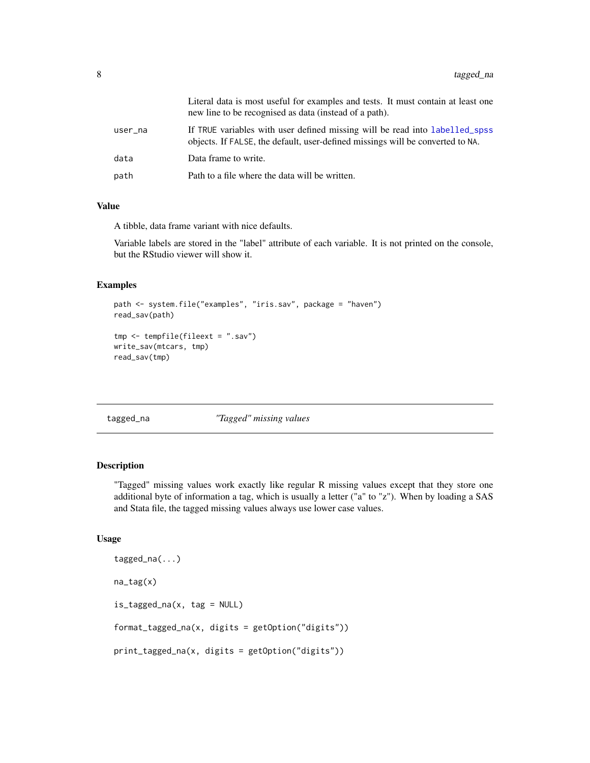<span id="page-7-0"></span>

|         | Literal data is most useful for examples and tests. It must contain at least one<br>new line to be recognised as data (instead of a path).                    |
|---------|---------------------------------------------------------------------------------------------------------------------------------------------------------------|
| user_na | If TRUE variables with user defined missing will be read into labelled_spss<br>objects. If FALSE, the default, user-defined missings will be converted to NA. |
| data    | Data frame to write.                                                                                                                                          |
| path    | Path to a file where the data will be written.                                                                                                                |

#### Value

A tibble, data frame variant with nice defaults.

Variable labels are stored in the "label" attribute of each variable. It is not printed on the console, but the RStudio viewer will show it.

#### Examples

```
path <- system.file("examples", "iris.sav", package = "haven")
read_sav(path)
tmp <- tempfile(fileext = ".sav")
write_sav(mtcars, tmp)
read_sav(tmp)
```
tagged\_na *"Tagged" missing values*

#### Description

"Tagged" missing values work exactly like regular R missing values except that they store one additional byte of information a tag, which is usually a letter ("a" to "z"). When by loading a SAS and Stata file, the tagged missing values always use lower case values.

#### Usage

```
tagged_na(...)
na_tag(x)
is_tagged_na(x, tag = NULL)
format_tagged_na(x, digits = getOption("digits"))
print_tagged_na(x, digits = getOption("digits"))
```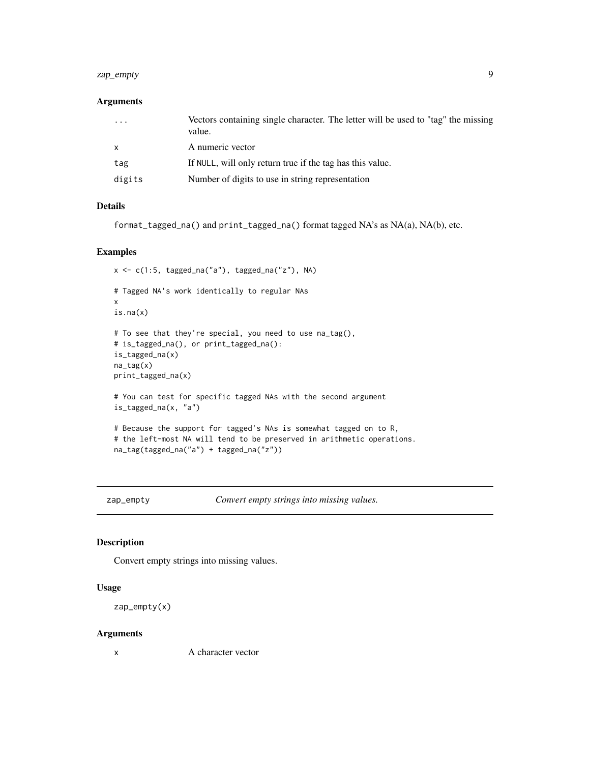#### <span id="page-8-0"></span>zap\_empty 9

#### Arguments

| $\cdot$ $\cdot$ $\cdot$ | Vectors containing single character. The letter will be used to "tag" the missing<br>value. |
|-------------------------|---------------------------------------------------------------------------------------------|
| $\mathsf{x}$            | A numeric vector                                                                            |
| tag                     | If NULL, will only return true if the tag has this value.                                   |
| digits                  | Number of digits to use in string representation                                            |

#### Details

format\_tagged\_na() and print\_tagged\_na() format tagged NA's as NA(a), NA(b), etc.

#### Examples

```
x <- c(1:5, tagged_na("a"), tagged_na("z"), NA)
# Tagged NA's work identically to regular NAs
x
is.na(x)
# To see that they're special, you need to use na_tag(),
# is_tagged_na(), or print_tagged_na():
is_tagged_na(x)
na_tag(x)
print_tagged_na(x)
# You can test for specific tagged NAs with the second argument
is_tagged_na(x, "a")
# Because the support for tagged's NAs is somewhat tagged on to R,
# the left-most NA will tend to be preserved in arithmetic operations.
na_tag(tagged_na("a") + tagged_na("z"))
```
<span id="page-8-1"></span>zap\_empty *Convert empty strings into missing values.*

#### Description

Convert empty strings into missing values.

#### Usage

```
zap_empty(x)
```
#### Arguments

x A character vector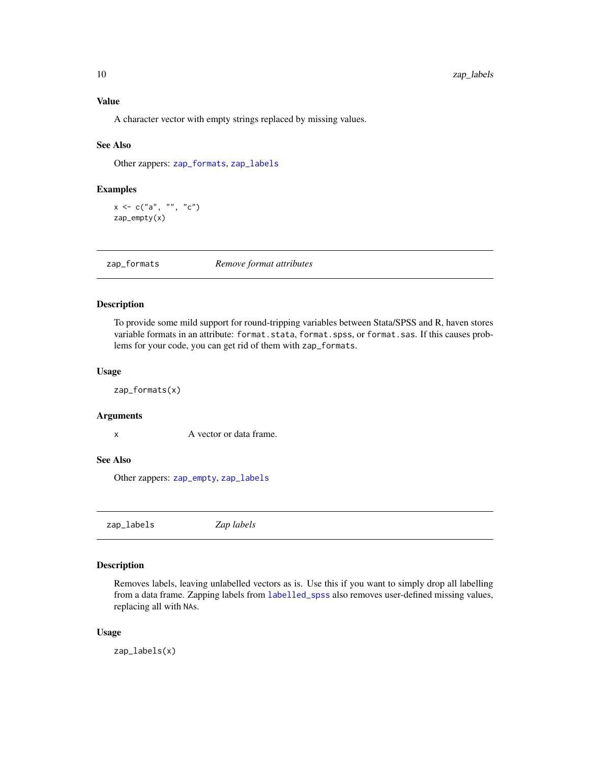#### <span id="page-9-0"></span>Value

A character vector with empty strings replaced by missing values.

#### See Also

Other zappers: [zap\\_formats](#page-9-1), [zap\\_labels](#page-9-2)

#### Examples

 $x < -c("a", " " "c")$ zap\_empty(x)

<span id="page-9-1"></span>zap\_formats *Remove format attributes*

#### Description

To provide some mild support for round-tripping variables between Stata/SPSS and R, haven stores variable formats in an attribute: format.stata, format.spss, or format.sas. If this causes problems for your code, you can get rid of them with zap\_formats.

#### Usage

zap\_formats(x)

#### Arguments

x A vector or data frame.

#### See Also

Other zappers: [zap\\_empty](#page-8-1), [zap\\_labels](#page-9-2)

<span id="page-9-2"></span>zap\_labels *Zap labels*

#### Description

Removes labels, leaving unlabelled vectors as is. Use this if you want to simply drop all labelling from a data frame. Zapping labels from [labelled\\_spss](#page-3-1) also removes user-defined missing values, replacing all with NAs.

#### Usage

zap\_labels(x)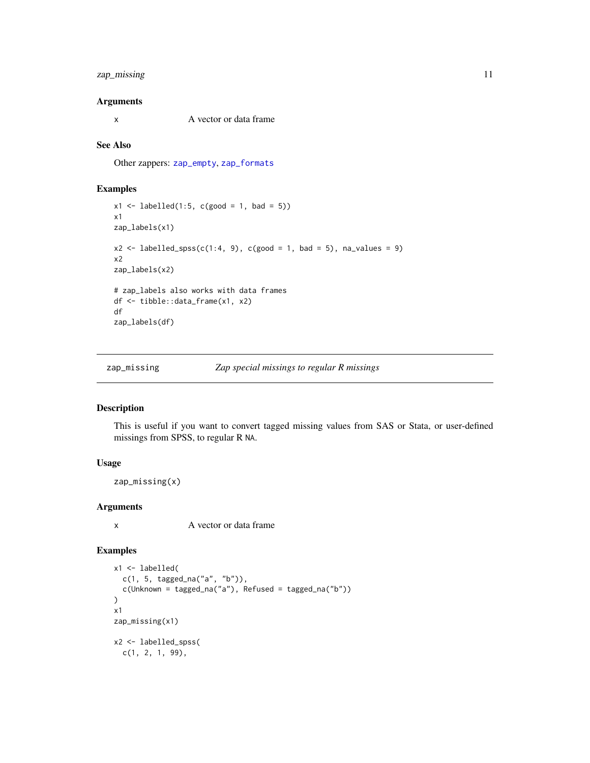#### <span id="page-10-0"></span>zap\_missing 11

#### Arguments

x A vector or data frame

#### See Also

Other zappers: [zap\\_empty](#page-8-1), [zap\\_formats](#page-9-1)

#### Examples

```
x1 \le - labelled(1:5, c(good = 1, bad = 5))
x1
zap_labels(x1)
x2 \leftarrow labelled_spss(c(1:4, 9), c(good = 1, bad = 5), na_values = 9)
x2
zap_labels(x2)
# zap_labels also works with data frames
df <- tibble::data_frame(x1, x2)
df
zap_labels(df)
```
zap\_missing *Zap special missings to regular R missings*

#### Description

This is useful if you want to convert tagged missing values from SAS or Stata, or user-defined missings from SPSS, to regular R NA.

#### Usage

zap\_missing(x)

#### Arguments

x A vector or data frame

#### Examples

```
x1 <- labelled(
  c(1, 5, tagged_na("a", "b")),
  c(Unknown = tagged_na("a"), Refused = tagged_na("b"))
\mathcal{L}x1
zap_missing(x1)
x2 <- labelled_spss(
 c(1, 2, 1, 99),
```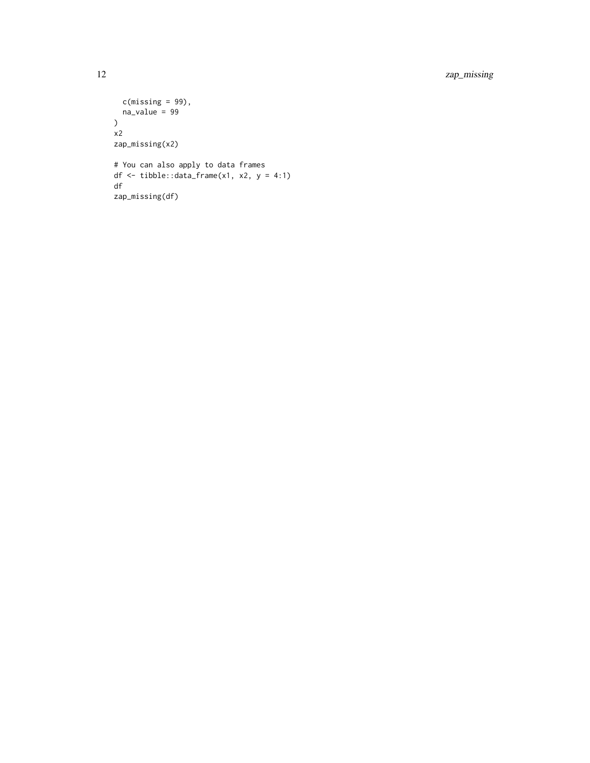12 zap\_missing

```
c(missing = 99),
 na_value = 99
)
x2
zap_missing(x2)
# You can also apply to data frames
df <- tibble::data_frame(x1, x2, y = 4:1)
df
zap_missing(df)
```